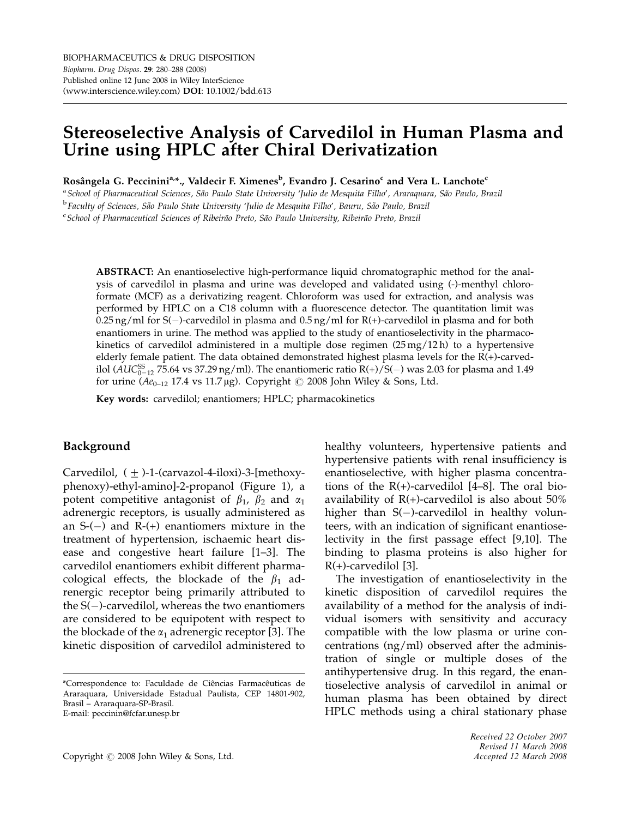# Stereoselective Analysis of Carvedilol in Human Plasma and Urine using HPLC after Chiral Derivatization

Rosângela G. Peccinini<sup>a,</sup>\*., Valdecir F. Ximenes<sup>b</sup>, Evandro J. Cesarino<sup>c</sup> and Vera L. Lanchote<sup>c</sup>

a School of Pharmaceutical Sciences, São Paulo State University 'Julio de Mesquita Filho', Araraquara, São Paulo, Brazil <sup>b</sup> Faculty of Sciences, São Paulo State University 'Julio de Mesquita Filho', Bauru, São Paulo, Brazil

<sup>c</sup> School of Pharmaceutical Sciences of Ribeirão Preto, São Paulo University, Ribeirão Preto, Brazil

ABSTRACT: An enantioselective high-performance liquid chromatographic method for the analysis of carvedilol in plasma and urine was developed and validated using (-)-menthyl chloroformate (MCF) as a derivatizing reagent. Chloroform was used for extraction, and analysis was performed by HPLC on a C18 column with a fluorescence detector. The quantitation limit was  $0.25$  ng/ml for S(-)-carvedilol in plasma and  $0.5$  ng/ml for R(+)-carvedilol in plasma and for both enantiomers in urine. The method was applied to the study of enantioselectivity in the pharmacokinetics of carvedilol administered in a multiple dose regimen (25 mg/12 h) to a hypertensive elderly female patient. The data obtained demonstrated highest plasma levels for the  $R(+)$ -carvedilol ( $AUC_{0-12}^{\rm SS}$  75.64 vs 37.29 ng/ml). The enantiomeric ratio R(+)/S(-) was 2.03 for plasma and 1.49 for urine  $(Ae_{0-12}$  17.4 vs 11.7 µg). Copyright  $\odot$  2008 John Wiley & Sons, Ltd.

Key words: carvedilol; enantiomers; HPLC; pharmacokinetics

## Background

Carvedilol, (  $\pm$  )-1-(carvazol-4-iloxi)-3-[methoxyphenoxy)-ethyl-amino]-2-propanol (Figure 1), a potent competitive antagonist of  $\beta_1$ ,  $\beta_2$  and  $\alpha_1$ adrenergic receptors, is usually administered as an  $S$ -(-) and  $R$ -(+) enantiomers mixture in the treatment of hypertension, ischaemic heart disease and congestive heart failure [1–3]. The carvedilol enantiomers exhibit different pharmacological effects, the blockade of the  $\beta_1$  adrenergic receptor being primarily attributed to the  $S(-)$ -carvedilol, whereas the two enantiomers are considered to be equipotent with respect to the blockade of the  $\alpha_1$  adrenergic receptor [3]. The kinetic disposition of carvedilol administered to

\*Correspondence to: Faculdade de Ciências Farmacêuticas de Araraquara, Universidade Estadual Paulista, CEP 14801-902, Brasil – Araraquara-SP-Brasil. E-mail: peccinin@fcfar.unesp.br

healthy volunteers, hypertensive patients and hypertensive patients with renal insufficiency is enantioselective, with higher plasma concentrations of the  $R(+)$ -carvedilol [4–8]. The oral bioavailability of  $R(+)$ -carvedilol is also about 50% higher than  $S(-)$ -carvedilol in healthy volunteers, with an indication of significant enantioselectivity in the first passage effect [9,10]. The binding to plasma proteins is also higher for  $R(+)$ -carvedilol [3].

The investigation of enantioselectivity in the kinetic disposition of carvedilol requires the availability of a method for the analysis of individual isomers with sensitivity and accuracy compatible with the low plasma or urine concentrations (ng/ml) observed after the administration of single or multiple doses of the antihypertensive drug. In this regard, the enantioselective analysis of carvedilol in animal or human plasma has been obtained by direct HPLC methods using a chiral stationary phase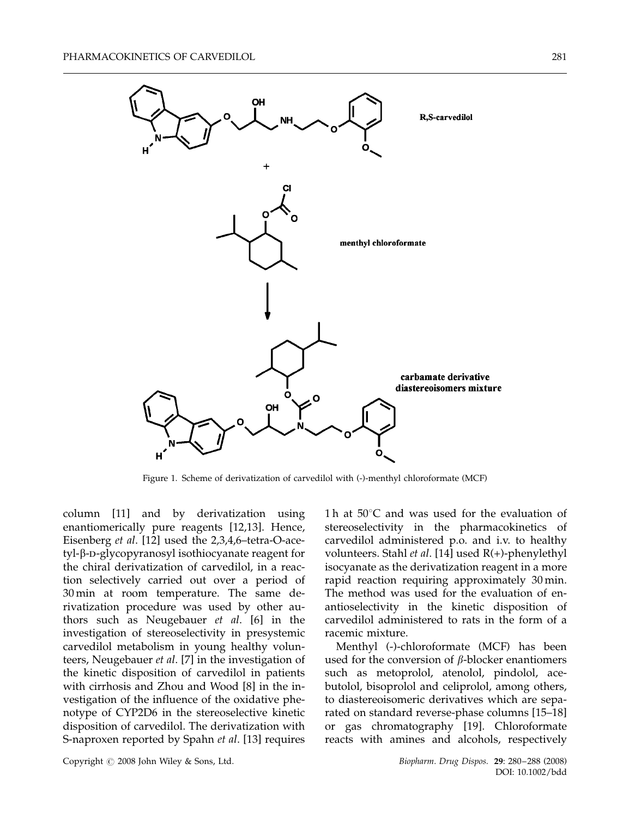

Figure 1. Scheme of derivatization of carvedilol with (-)-menthyl chloroformate (MCF)

column [11] and by derivatization using enantiomerically pure reagents [12,13]. Hence, Eisenberg et al. [12] used the 2,3,4,6–tetra-O-acetyl-β-D-glycopyranosyl isothiocyanate reagent for the chiral derivatization of carvedilol, in a reaction selectively carried out over a period of 30 min at room temperature. The same derivatization procedure was used by other authors such as Neugebauer et al. [6] in the investigation of stereoselectivity in presystemic carvedilol metabolism in young healthy volunteers, Neugebauer et al. [7] in the investigation of the kinetic disposition of carvedilol in patients with cirrhosis and Zhou and Wood [8] in the investigation of the influence of the oxidative phenotype of CYP2D6 in the stereoselective kinetic disposition of carvedilol. The derivatization with S-naproxen reported by Spahn et al. [13] requires

Copyright  $\odot$  2008 John Wiley & Sons, Ltd.  $Biopharm.$  *Biopharm. Drug Dispos.* **29**: 280–288 (2008)

1h at  $50^{\circ}$ C and was used for the evaluation of stereoselectivity in the pharmacokinetics of carvedilol administered p.o. and i.v. to healthy volunteers. Stahl et al. [14] used R(+)-phenylethyl isocyanate as the derivatization reagent in a more rapid reaction requiring approximately 30 min. The method was used for the evaluation of enantioselectivity in the kinetic disposition of carvedilol administered to rats in the form of a racemic mixture.

Menthyl (-)-chloroformate (MCF) has been used for the conversion of  $\beta$ -blocker enantiomers such as metoprolol, atenolol, pindolol, acebutolol, bisoprolol and celiprolol, among others, to diastereoisomeric derivatives which are separated on standard reverse-phase columns [15–18] or gas chromatography [19]. Chloroformate reacts with amines and alcohols, respectively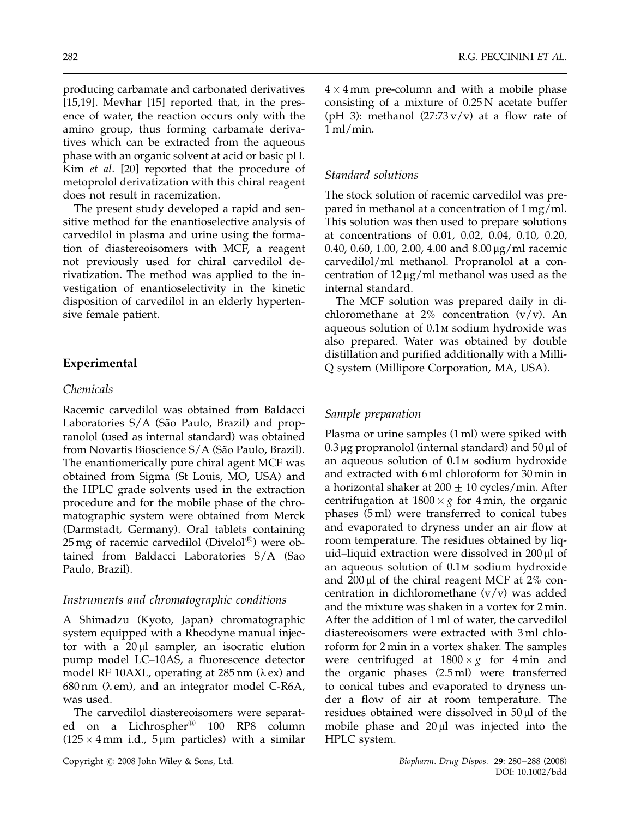producing carbamate and carbonated derivatives [15,19]. Mevhar [15] reported that, in the presence of water, the reaction occurs only with the amino group, thus forming carbamate derivatives which can be extracted from the aqueous phase with an organic solvent at acid or basic pH. Kim et al. [20] reported that the procedure of metoprolol derivatization with this chiral reagent does not result in racemization.

The present study developed a rapid and sensitive method for the enantioselective analysis of carvedilol in plasma and urine using the formation of diastereoisomers with MCF, a reagent not previously used for chiral carvedilol derivatization. The method was applied to the investigation of enantioselectivity in the kinetic disposition of carvedilol in an elderly hypertensive female patient.

## Experimental

## Chemicals

Racemic carvedilol was obtained from Baldacci Laboratories S/A (São Paulo, Brazil) and propranolol (used as internal standard) was obtained from Novartis Bioscience S/A (São Paulo, Brazil). The enantiomerically pure chiral agent MCF was obtained from Sigma (St Louis, MO, USA) and the HPLC grade solvents used in the extraction procedure and for the mobile phase of the chromatographic system were obtained from Merck (Darmstadt, Germany). Oral tablets containing  $25 \,\text{mg}$  of racemic carvedilol (Divelol<sup>®</sup>) were obtained from Baldacci Laboratories S/A (Sao Paulo, Brazil).

## Instruments and chromatographic conditions

A Shimadzu (Kyoto, Japan) chromatographic system equipped with a Rheodyne manual injector with a  $20 \mu l$  sampler, an isocratic elution pump model LC–10AS, a fluorescence detector model RF 10AXL, operating at  $285$  nm ( $\lambda$  ex) and  $680 \text{ nm}$  ( $\lambda$  em), and an integrator model C-R6A, was used.

The carvedilol diastereoisomers were separated on a Lichrospher<sup>®</sup> 100 RP8 column  $(125 \times 4 \text{ mm } i.d., 5 \mu \text{ m}$  particles) with a similar  $4 \times 4$  mm pre-column and with a mobile phase consisting of a mixture of 0.25 N acetate buffer (pH 3): methanol  $(27:73 \text{ v/v})$  at a flow rate of 1 ml/min.

## Standard solutions

The stock solution of racemic carvedilol was prepared in methanol at a concentration of 1 mg/ml. This solution was then used to prepare solutions at concentrations of 0.01, 0.02, 0.04, 0.10, 0.20, 0.40, 0.60, 1.00, 2.00, 4.00 and  $8.00 \,\mu\text{g/ml}$  racemic carvedilol/ml methanol. Propranolol at a concentration of  $12 \mu g/ml$  methanol was used as the internal standard.

The MCF solution was prepared daily in dichloromethane at  $2\%$  concentration  $(v/v)$ . An aqueous solution of 0.1m sodium hydroxide was also prepared. Water was obtained by double distillation and purified additionally with a Milli-Q system (Millipore Corporation, MA, USA).

#### Sample preparation

Plasma or urine samples (1 ml) were spiked with  $0.3 \,\mu$ g propranolol (internal standard) and  $50 \,\mu$ l of an aqueous solution of 0.1m sodium hydroxide and extracted with 6 ml chloroform for 30 min in a horizontal shaker at 200  $\pm$  10 cycles/min. After centrifugation at  $1800 \times g$  for 4 min, the organic phases (5 ml) were transferred to conical tubes and evaporated to dryness under an air flow at room temperature. The residues obtained by liquid–liquid extraction were dissolved in  $200 \mu l$  of an aqueous solution of 0.1m sodium hydroxide and 200  $\mu$ l of the chiral reagent MCF at 2% concentration in dichloromethane  $(v/v)$  was added and the mixture was shaken in a vortex for 2 min. After the addition of 1 ml of water, the carvedilol diastereoisomers were extracted with 3 ml chloroform for 2 min in a vortex shaker. The samples were centrifuged at  $1800 \times g$  for 4 min and the organic phases (2.5 ml) were transferred to conical tubes and evaporated to dryness under a flow of air at room temperature. The residues obtained were dissolved in  $50 \mu l$  of the mobile phase and  $20 \mu l$  was injected into the HPLC system.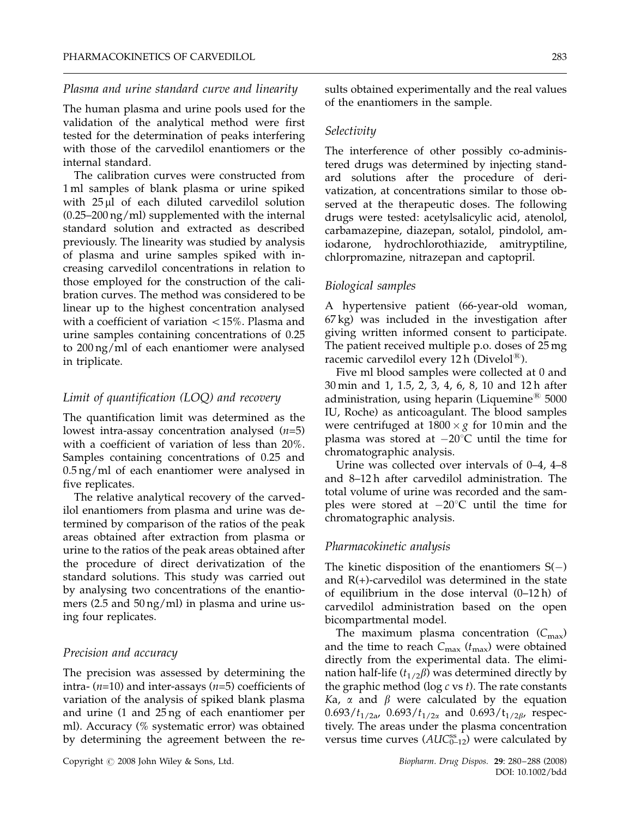#### Plasma and urine standard curve and linearity

The human plasma and urine pools used for the validation of the analytical method were first tested for the determination of peaks interfering with those of the carvedilol enantiomers or the internal standard.

The calibration curves were constructed from 1 ml samples of blank plasma or urine spiked with  $25 \mu l$  of each diluted carvedilol solution (0.25–200 ng/ml) supplemented with the internal standard solution and extracted as described previously. The linearity was studied by analysis of plasma and urine samples spiked with increasing carvedilol concentrations in relation to those employed for the construction of the calibration curves. The method was considered to be linear up to the highest concentration analysed with a coefficient of variation  $<$  15%. Plasma and urine samples containing concentrations of 0.25 to 200 ng/ml of each enantiomer were analysed in triplicate.

## Limit of quantification (LOQ) and recovery

The quantification limit was determined as the lowest intra-assay concentration analysed  $(n=5)$ with a coefficient of variation of less than 20%. Samples containing concentrations of 0.25 and 0.5 ng/ml of each enantiomer were analysed in five replicates.

The relative analytical recovery of the carvedilol enantiomers from plasma and urine was determined by comparison of the ratios of the peak areas obtained after extraction from plasma or urine to the ratios of the peak areas obtained after the procedure of direct derivatization of the standard solutions. This study was carried out by analysing two concentrations of the enantiomers (2.5 and 50 ng/ml) in plasma and urine using four replicates.

## Precision and accuracy

The precision was assessed by determining the intra-  $(n=10)$  and inter-assays  $(n=5)$  coefficients of variation of the analysis of spiked blank plasma and urine (1 and 25 ng of each enantiomer per ml). Accuracy (% systematic error) was obtained by determining the agreement between the re-

Copyright  $\odot$  2008 John Wiley & Sons, Ltd.  $Biopharm.$  *Drug Dispos.* 29: 280–288 (2008)

sults obtained experimentally and the real values of the enantiomers in the sample.

#### Selectivity

The interference of other possibly co-administered drugs was determined by injecting standard solutions after the procedure of derivatization, at concentrations similar to those observed at the therapeutic doses. The following drugs were tested: acetylsalicylic acid, atenolol, carbamazepine, diazepan, sotalol, pindolol, amiodarone, hydrochlorothiazide, amitryptiline, chlorpromazine, nitrazepan and captopril.

#### Biological samples

A hypertensive patient (66-year-old woman, 67 kg) was included in the investigation after giving written informed consent to participate. The patient received multiple p.o. doses of 25 mg racemic carvedilol every  $12 h$  (Divelol<sup>®</sup>).

Five ml blood samples were collected at 0 and 30 min and 1, 1.5, 2, 3, 4, 6, 8, 10 and 12 h after administration, using heparin (Liquemine $4/15000$ IU, Roche) as anticoagulant. The blood samples were centrifuged at  $1800 \times g$  for 10 min and the plasma was stored at  $-20^{\circ}$ C until the time for chromatographic analysis.

Urine was collected over intervals of 0–4, 4–8 and 8–12 h after carvedilol administration. The total volume of urine was recorded and the samples were stored at  $-20^{\circ}$ C until the time for chromatographic analysis.

#### Pharmacokinetic analysis

The kinetic disposition of the enantiomers  $S(-)$ and R(+)-carvedilol was determined in the state of equilibrium in the dose interval (0–12 h) of carvedilol administration based on the open bicompartmental model.

The maximum plasma concentration  $(C_{\text{max}})$ and the time to reach  $C_{\text{max}}$  ( $t_{\text{max}}$ ) were obtained directly from the experimental data. The elimination half-life  $(t_{1/2}\beta)$  was determined directly by the graphic method (log  $c$  vs  $t$ ). The rate constants Ka,  $\alpha$  and  $\beta$  were calculated by the equation  $0.693/t_{1/2a}$ ,  $0.693/t_{1/2a}$  and  $0.693/t_{1/2b}$ , respectively. The areas under the plasma concentration versus time curves  $(AUC_{0-12}^{ss})$  were calculated by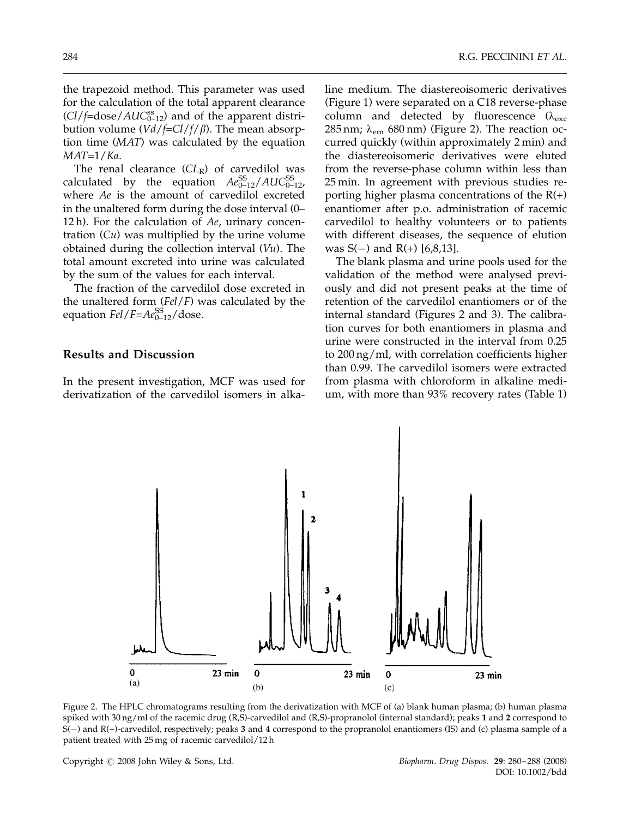the trapezoid method. This parameter was used for the calculation of the total apparent clearance  $(Cl/f=dose/AUC_{0-12}^{ss})$  and of the apparent distribution volume  $(Vd/\mathit{f} = Cl/\mathit{f}/\beta)$ . The mean absorption time (MAT) was calculated by the equation  $MAT=1/Ka$ .

The renal clearance  $(CL_R)$  of carvedilol was calculated by the equation  $Ae_{0-12}^{SS}/AUC_{0-12}^{SS}$ , where Ae is the amount of carvedilol excreted in the unaltered form during the dose interval (0– 12 h). For the calculation of  $Ae$ , urinary concentration  $(Cu)$  was multiplied by the urine volume obtained during the collection interval  $(Vu)$ . The total amount excreted into urine was calculated by the sum of the values for each interval.

The fraction of the carvedilol dose excreted in the unaltered form  $(Fel/F)$  was calculated by the equation  $FeI/F = Ae_{0-12}^{SS}/$  dose.

#### Results and Discussion

In the present investigation, MCF was used for derivatization of the carvedilol isomers in alkaline medium. The diastereoisomeric derivatives (Figure 1) were separated on a C18 reverse-phase column and detected by fluorescence ( $\lambda_{\rm exc}$ 285 nm;  $\lambda_{em}$  680 nm) (Figure 2). The reaction occurred quickly (within approximately 2 min) and the diastereoisomeric derivatives were eluted from the reverse-phase column within less than 25 min. In agreement with previous studies reporting higher plasma concentrations of the R(+) enantiomer after p.o. administration of racemic carvedilol to healthy volunteers or to patients with different diseases, the sequence of elution was  $S(-)$  and  $R(+)$  [6,8,13].

The blank plasma and urine pools used for the validation of the method were analysed previously and did not present peaks at the time of retention of the carvedilol enantiomers or of the internal standard (Figures 2 and 3). The calibration curves for both enantiomers in plasma and urine were constructed in the interval from 0.25 to 200 ng/ml, with correlation coefficients higher than 0.99. The carvedilol isomers were extracted from plasma with chloroform in alkaline medium, with more than 93% recovery rates (Table 1)

Figure 2. The HPLC chromatograms resulting from the derivatization with MCF of (a) blank human plasma; (b) human plasma spiked with 30 ng/ml of the racemic drug (R,S)-carvedilol and (R,S)-propranolol (internal standard); peaks 1 and 2 correspond to S() and R(+)-carvedilol, respectively; peaks 3 and 4 correspond to the propranolol enantiomers (IS) and (c) plasma sample of a patient treated with 25 mg of racemic carvedilol/12 h

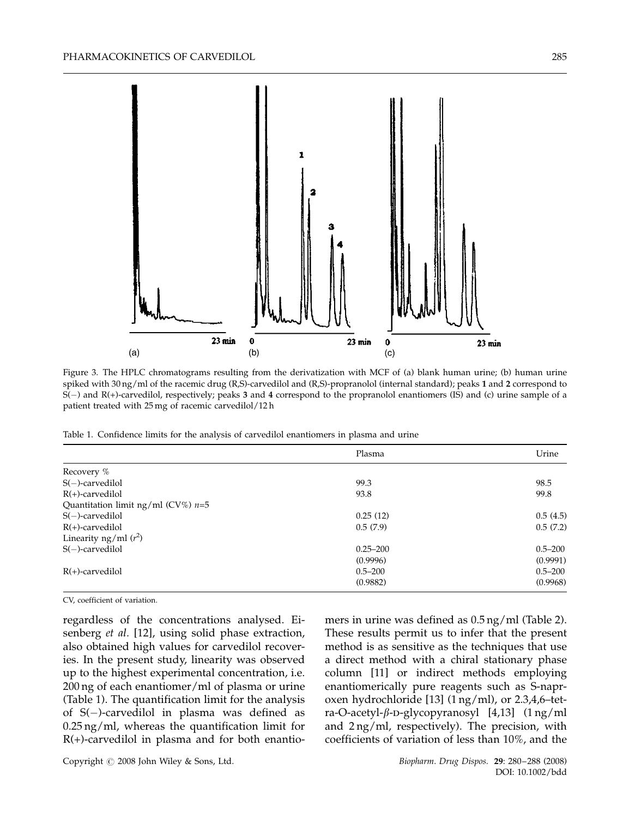

Figure 3. The HPLC chromatograms resulting from the derivatization with MCF of (a) blank human urine; (b) human urine spiked with  $30 \text{ ng/ml}$  of the racemic drug (R,S)-carvedilol and (R,S)-propranolol (internal standard); peaks 1 and 2 correspond to  $S(-)$  and  $R(+)$ -carvedilol, respectively; peaks 3 and 4 correspond to the propranolol enantiomers (IS) and (c) urine sample of a patient treated with 25 mg of racemic carvedilol/12 h

Table 1. Confidence limits for the analysis of carvedilol enantiomers in plasma and urine

|                                      | Plasma       | Urine       |
|--------------------------------------|--------------|-------------|
| Recovery %                           |              |             |
| $S(-)$ -carvedilol                   | 99.3         | 98.5        |
| $R(+)$ -carvedilol                   | 93.8         | 99.8        |
| Quantitation limit ng/ml (CV%) $n=5$ |              |             |
| $S(-)$ -carvedilol                   | 0.25(12)     | 0.5(4.5)    |
| $R(+)$ -carvedilol                   | 0.5(7.9)     | 0.5(7.2)    |
| Linearity ng/ml $(r^2)$              |              |             |
| $S(-)$ -carvedilol                   | $0.25 - 200$ | $0.5 - 200$ |
|                                      | (0.9996)     | (0.9991)    |
| $R(+)$ -carvedilol                   | $0.5 - 200$  | $0.5 - 200$ |
|                                      | (0.9882)     | (0.9968)    |

CV, coefficient of variation.

regardless of the concentrations analysed. Eisenberg et al. [12], using solid phase extraction, also obtained high values for carvedilol recoveries. In the present study, linearity was observed up to the highest experimental concentration, i.e. 200 ng of each enantiomer/ml of plasma or urine (Table 1). The quantification limit for the analysis of  $S(-)$ -carvedilol in plasma was defined as 0.25 ng/ml, whereas the quantification limit for R(+)-carvedilol in plasma and for both enantiomers in urine was defined as 0.5 ng/ml (Table 2). These results permit us to infer that the present method is as sensitive as the techniques that use a direct method with a chiral stationary phase column [11] or indirect methods employing enantiomerically pure reagents such as S-naproxen hydrochloride [13] (1 ng/ml), or 2.3,4,6–tetra-O-acetyl- $\beta$ -D-glycopyranosyl [4,13] (1 ng/ml and 2 ng/ml, respectively). The precision, with coefficients of variation of less than 10%, and the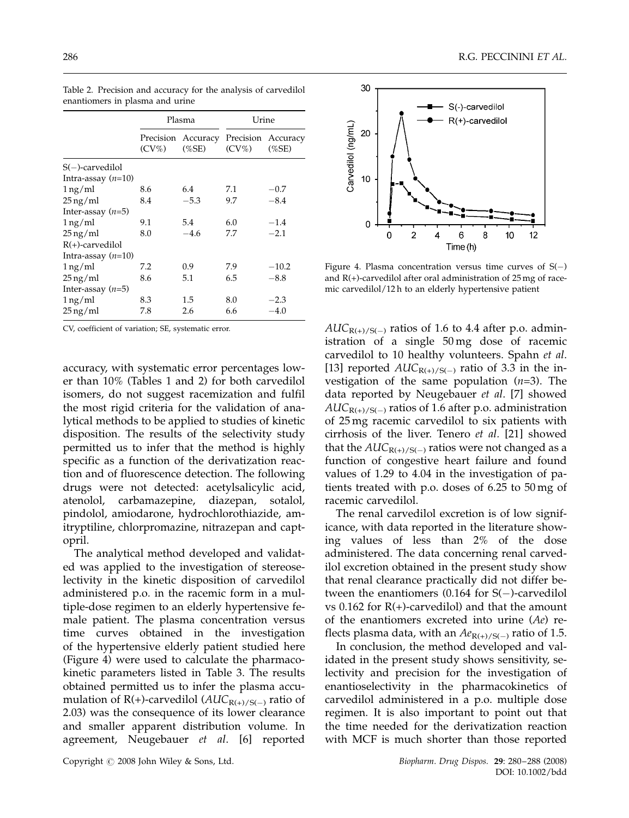|                       | Plasma   |                                                   | Urine    |          |
|-----------------------|----------|---------------------------------------------------|----------|----------|
|                       | $(CV\%)$ | Precision Accuracy Precision Accuracy<br>$(\%SE)$ | $(CV\%)$ | $(\%SE)$ |
| $S(-)$ -carvedilol    |          |                                                   |          |          |
| Intra-assay $(n=10)$  |          |                                                   |          |          |
| $1 \,\mathrm{ng/ml}$  | 8.6      | 6.4                                               | 7.1      | $-0.7$   |
| $25 \,\mathrm{ng/ml}$ | 8.4      | $-5.3$                                            | 9.7      | $-8.4$   |
| Inter-assay $(n=5)$   |          |                                                   |          |          |
| $1$ ng/ml             | 9.1      | 5.4                                               | 6.0      | $-1.4$   |
| $25 \,\mathrm{ng/ml}$ | 8.0      | $-4.6$                                            | 7.7      | $-2.1$   |
| $R(+)$ -carvedilol    |          |                                                   |          |          |
| Intra-assay $(n=10)$  |          |                                                   |          |          |
| $1 \,\mathrm{ng/ml}$  | 7.2      | 0.9                                               | 7.9      | $-10.2$  |
| $25 \,\mathrm{ng/ml}$ | 8.6      | 5.1                                               | 6.5      | $-8.8$   |
| Inter-assay $(n=5)$   |          |                                                   |          |          |
| $1 \,\mathrm{ng/ml}$  | 8.3      | 1.5                                               | 8.0      | $-2.3$   |
| $25 \,\mathrm{ng/ml}$ | 7.8      | 2.6                                               | 6.6      | $-4.0$   |

Table 2. Precision and accuracy for the analysis of carvedilol enantiomers in plasma and urine

CV, coefficient of variation; SE, systematic error.

accuracy, with systematic error percentages lower than 10% (Tables 1 and 2) for both carvedilol isomers, do not suggest racemization and fulfil the most rigid criteria for the validation of analytical methods to be applied to studies of kinetic disposition. The results of the selectivity study permitted us to infer that the method is highly specific as a function of the derivatization reaction and of fluorescence detection. The following drugs were not detected: acetylsalicylic acid, atenolol, carbamazepine, diazepan, sotalol, pindolol, amiodarone, hydrochlorothiazide, amitryptiline, chlorpromazine, nitrazepan and captopril.

The analytical method developed and validated was applied to the investigation of stereoselectivity in the kinetic disposition of carvedilol administered p.o. in the racemic form in a multiple-dose regimen to an elderly hypertensive female patient. The plasma concentration versus time curves obtained in the investigation of the hypertensive elderly patient studied here (Figure 4) were used to calculate the pharmacokinetic parameters listed in Table 3. The results obtained permitted us to infer the plasma accumulation of R(+)-carvedilol ( $AUC_{R(+)}/S(+)$  ratio of 2.03) was the consequence of its lower clearance and smaller apparent distribution volume. In agreement, Neugebauer et al. [6] reported



Figure 4. Plasma concentration versus time curves of  $S(-)$ and R(+)-carvedilol after oral administration of 25 mg of racemic carvedilol/12 h to an elderly hypertensive patient

 $AUC_{R(+)/S(-)}$  ratios of 1.6 to 4.4 after p.o. administration of a single 50 mg dose of racemic carvedilol to 10 healthy volunteers. Spahn et al. [13] reported  $AUC_{R(+)/S(-)}$  ratio of 3.3 in the investigation of the same population  $(n=3)$ . The data reported by Neugebauer et al. [7] showed  $AUC_{R(+)/S(-)}$  ratios of 1.6 after p.o. administration of 25 mg racemic carvedilol to six patients with cirrhosis of the liver. Tenero et al. [21] showed that the  $AUC_{R(+)/S(-)}$  ratios were not changed as a function of congestive heart failure and found values of 1.29 to 4.04 in the investigation of patients treated with p.o. doses of 6.25 to 50 mg of racemic carvedilol.

The renal carvedilol excretion is of low significance, with data reported in the literature showing values of less than 2% of the dose administered. The data concerning renal carvedilol excretion obtained in the present study show that renal clearance practically did not differ between the enantiomers  $(0.164$  for  $S(-)$ -carvedilol vs 0.162 for R(+)-carvedilol) and that the amount of the enantiomers excreted into urine  $(Ae)$  reflects plasma data, with an  $Ae_{R(+)/S(-)}$  ratio of 1.5.

In conclusion, the method developed and validated in the present study shows sensitivity, selectivity and precision for the investigation of enantioselectivity in the pharmacokinetics of carvedilol administered in a p.o. multiple dose regimen. It is also important to point out that the time needed for the derivatization reaction with MCF is much shorter than those reported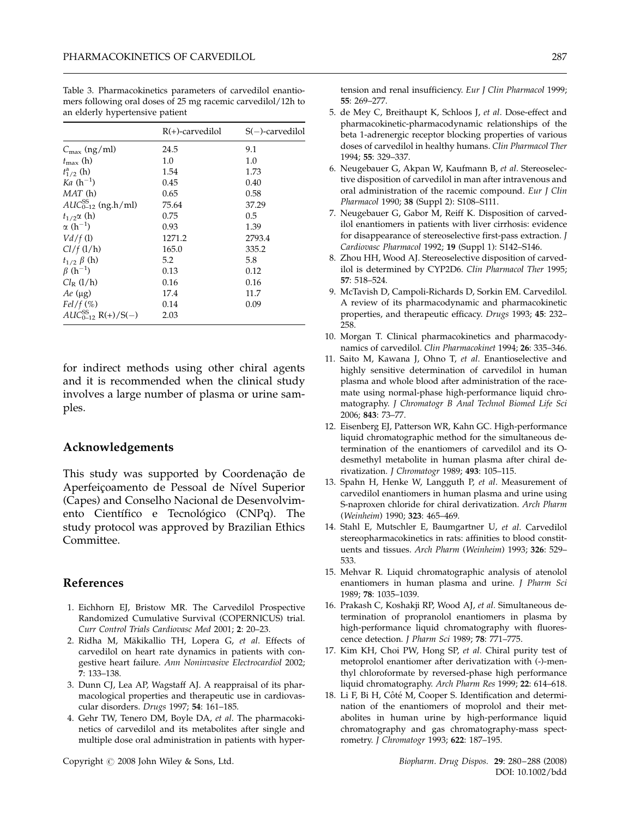|                               | $R(+)$ -carvedilol | $S(-)$ -carvedilol |
|-------------------------------|--------------------|--------------------|
| $C_{\text{max}}$ (ng/ml)      | 24.5               | 9.1                |
| $t_{\rm max}$ (h)             | 1.0                | 1.0                |
| $t_{1/2}^{a}$ (h)             | 1.54               | 1.73               |
| $Ka(h^{-1})$                  | 0.45               | 0.40               |
| MAT(h)                        | 0.65               | 0.58               |
| $AUC_{0-12}^{SS}$ (ng.h/ml)   | 75.64              | 37.29              |
| $t_{1/2}$ $\alpha$ (h)        | 0.75               | 0.5                |
| $\alpha$ (h <sup>-1</sup> )   | 0.93               | 1.39               |
| $Vd/f$ (l)                    | 1271.2             | 2793.4             |
| Cl/f (l/h)                    | 165.0              | 335.2              |
| $t_{1/2}$ $\beta$ (h)         | 5.2                | 5.8                |
| $\beta$ (h <sup>-1</sup> )    | 0.13               | 0.12               |
| $Cl_{R}$ $(l/h)$              | 0.16               | 0.16               |
| $Ae \; (\mu g)$               | 17.4               | 11.7               |
| $Fel/f$ (%)                   | 0.14               | 0.09               |
| $AUC_{0-12}^{SS} R(+) / S(-)$ | 2.03               |                    |

Table 3. Pharmacokinetics parameters of carvedilol enantiomers following oral doses of 25 mg racemic carvedilol/12h to an elderly hypertensive patient

for indirect methods using other chiral agents and it is recommended when the clinical study involves a large number of plasma or urine samples.

## Acknowledgements

This study was supported by Coordenação de Aperfeiçoamento de Pessoal de Nível Superior (Capes) and Conselho Nacional de Desenvolvimento Científico e Tecnológico (CNPq). The study protocol was approved by Brazilian Ethics Committee.

#### References

- 1. Eichhorn EJ, Bristow MR. The Carvedilol Prospective Randomized Cumulative Survival (COPERNICUS) trial. Curr Control Trials Cardiovasc Med 2001; 2: 20–23.
- 2. Ridha M, Mäkikallio TH, Lopera G, et al. Effects of carvedilol on heart rate dynamics in patients with congestive heart failure. Ann Noninvasive Electrocardiol 2002; 7: 133–138.
- 3. Dunn CJ, Lea AP, Wagstaff AJ. A reappraisal of its pharmacological properties and therapeutic use in cardiovascular disorders. Drugs 1997; 54: 161–185.
- 4. Gehr TW, Tenero DM, Boyle DA, et al. The pharmacokinetics of carvedilol and its metabolites after single and multiple dose oral administration in patients with hyper-

5. de Mey C, Breithaupt K, Schloos J, et al. Dose-effect and

55: 269–277.

pharmacokinetic-pharmacodynamic relationships of the beta 1-adrenergic receptor blocking properties of various doses of carvedilol in healthy humans. Clin Pharmacol Ther 1994; 55: 329–337.

tension and renal insufficiency. Eur J Clin Pharmacol 1999;

- 6. Neugebauer G, Akpan W, Kaufmann B, et al. Stereoselective disposition of carvedilol in man after intravenous and oral administration of the racemic compound. Eur J Clin Pharmacol 1990; 38 (Suppl 2): S108–S111.
- 7. Neugebauer G, Gabor M, Reiff K. Disposition of carvedilol enantiomers in patients with liver cirrhosis: evidence for disappearance of stereoselective first-pass extraction. J Cardiovasc Pharmacol 1992; 19 (Suppl 1): S142–S146.
- 8. Zhou HH, Wood AJ. Stereoselective disposition of carvedilol is determined by CYP2D6. Clin Pharmacol Ther 1995; 57: 518–524.
- 9. McTavish D, Campoli-Richards D, Sorkin EM. Carvedilol. A review of its pharmacodynamic and pharmacokinetic properties, and therapeutic efficacy. Drugs 1993; 45: 232– 258.
- 10. Morgan T. Clinical pharmacokinetics and pharmacodynamics of carvedilol. Clin Pharmacokinet 1994; 26: 335–346.
- 11. Saito M, Kawana J, Ohno T, et al. Enantioselective and highly sensitive determination of carvedilol in human plasma and whole blood after administration of the racemate using normal-phase high-performance liquid chromatography. J Chromatogr B Anal Technol Biomed Life Sci 2006; 843: 73–77.
- 12. Eisenberg EJ, Patterson WR, Kahn GC. High-performance liquid chromatographic method for the simultaneous determination of the enantiomers of carvedilol and its Odesmethyl metabolite in human plasma after chiral derivatization. J Chromatogr 1989; 493: 105–115.
- 13. Spahn H, Henke W, Langguth P, et al. Measurement of carvedilol enantiomers in human plasma and urine using S-naproxen chloride for chiral derivatization. Arch Pharm (Weinheim) 1990; 323: 465–469.
- 14. Stahl E, Mutschler E, Baumgartner U, et al. Carvedilol stereopharmacokinetics in rats: affinities to blood constituents and tissues. Arch Pharm (Weinheim) 1993; 326: 529– 533.
- 15. Mehvar R. Liquid chromatographic analysis of atenolol enantiomers in human plasma and urine. J Pharm Sci 1989; 78: 1035–1039.
- 16. Prakash C, Koshakji RP, Wood AJ, et al. Simultaneous determination of propranolol enantiomers in plasma by high-performance liquid chromatography with fluorescence detection. J Pharm Sci 1989; 78: 771–775.
- 17. Kim KH, Choi PW, Hong SP, et al. Chiral purity test of metoprolol enantiomer after derivatization with (-)-menthyl chloroformate by reversed-phase high performance liquid chromatography. Arch Pharm Res 1999; 22: 614–618.
- 18. Li F, Bi H, Côté M, Cooper S. Identification and determination of the enantiomers of moprolol and their metabolites in human urine by high-performance liquid chromatography and gas chromatography-mass spectrometry. J Chromatogr 1993; 622: 187–195.

Copyright  $\odot$  2008 John Wiley & Sons, Ltd.  $Biopharm.$  *Biopharm. Drug Dispos.* **29**: 280–288 (2008)